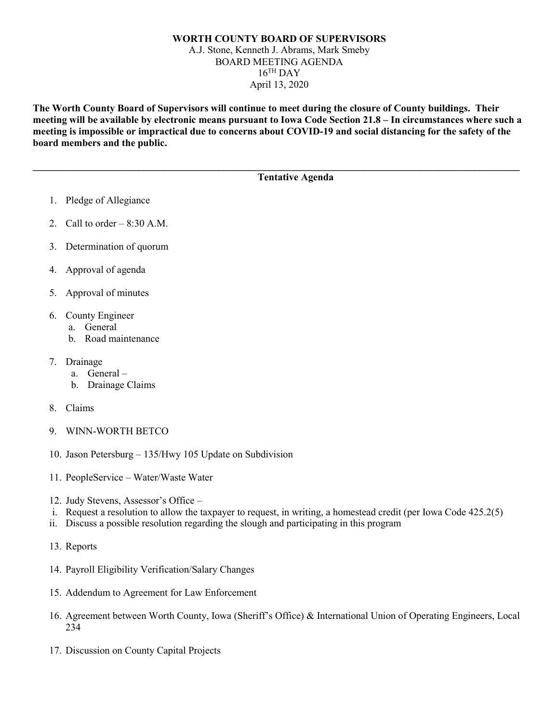## **WORTH COUNTY BOARD OF SUPERVISORS** A.J. Stone, Kenneth J. Abrams, Mark Smeby BOARD MEETING AGENDA  $16$ <sup>TH</sup> DAY April 13, 2020

**The Worth County Board of Supervisors will continue to meet during the closure of County buildings. Their meeting will be available by electronic means pursuant to Iowa Code Section 21.8 – In circumstances where such a meeting is impossible or impractical due to concerns about COVID-19 and social distancing for the safety of the board members and the public.** 

**\_\_\_\_\_\_\_\_\_\_\_\_\_\_\_\_\_\_\_\_\_\_\_\_\_\_\_\_\_\_\_\_\_\_\_\_\_\_\_\_\_\_\_\_\_\_\_\_\_\_\_\_\_\_\_\_\_\_\_\_\_\_\_\_\_\_\_\_\_\_\_\_\_\_\_\_\_\_\_\_\_\_\_\_\_\_\_\_\_\_\_\_\_\_\_\_\_**

## **Tentative Agenda**

- 1. Pledge of Allegiance
- 2. Call to order  $-8:30$  A.M.
- 3. Determination of quorum
- 4. Approval of agenda
- 5. Approval of minutes
- 6. County Engineer
	- a. General
	- b. Road maintenance
- 7. Drainage
	- a. General –
	- b. Drainage Claims
- 8. Claims
- 9. WINN-WORTH BETCO
- 10. Jason Petersburg 135/Hwy 105 Update on Subdivision
- 11. PeopleService Water/Waste Water
- 12. Judy Stevens, Assessor's Office –
- i. Request a resolution to allow the taxpayer to request, in writing, a homestead credit (per Iowa Code 425.2(5)
- ii. Discuss a possible resolution regarding the slough and participating in this program
- 13. Reports
- 14. Payroll Eligibility Verification/Salary Changes
- 15. Addendum to Agreement for Law Enforcement
- 16. Agreement between Worth County, Iowa (Sheriff's Office) & International Union of Operating Engineers, Local 234
- 17. Discussion on County Capital Projects